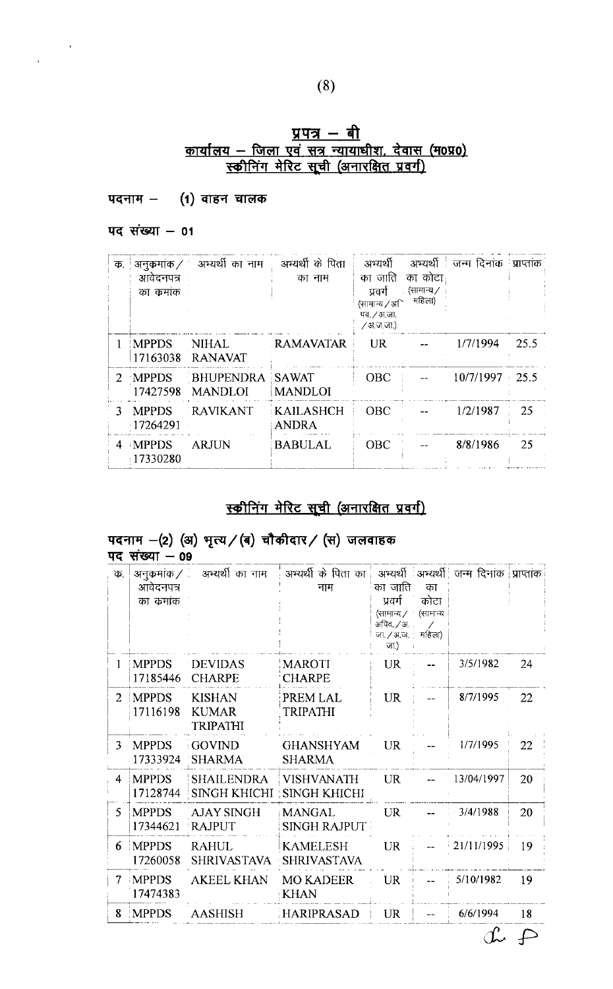# <u>प्रपत्र — बी</u><br><u>कार्यालय — जिला एवं सत्र न्यायाधीश, देवास (म0प्र0)</u><br>स्कीनिंग मेरिट सूची (अनारक्षित प्रवर्ग)

#### पदनाम $-$  (1) वाहन चालक

पद संख्या  $-01$ 

 $\label{eq:2} \frac{1}{\sqrt{2\pi}}\int_{0}^{\frac{1}{2}}\frac{1}{\sqrt{2\pi}}\,d\mu$ 

| क.            | अनुकुमांक $\angle$<br>आवेदनपत्र<br>का कमांक | अभ्यर्थी का नाम                    | ः अभ्यर्थी के पिता<br>का नाम     | अभ्यर्थी<br>का जाति<br>प्रवर्ग<br>(सामान्य ∕ अि<br>पव. / अ.जा.<br>∕ अजजा) | का कोटा<br>्र (सामान्य /<br>महिला) | - अभ्यर्थी <sup> </sup> जन्म दिनांक 'प्राप्तांक |      |
|---------------|---------------------------------------------|------------------------------------|----------------------------------|---------------------------------------------------------------------------|------------------------------------|-------------------------------------------------|------|
|               | <b>IMPPDS</b><br>17163038                   | <b>NIHAL</b><br><b>RANAVAT</b>     | . RAMAVATAR                      | UR.                                                                       |                                    | 1/7/1994                                        | 25.5 |
| $\mathcal{P}$ | <b>MPPDS</b><br>17427598                    | <b>BHUPENDRA</b><br><b>MANDLOI</b> | SAWAT<br><b>MANDLOI</b>          | <b>OBC</b>                                                                |                                    | $10/7/1997 + 25.5$                              |      |
| 3.            | <b>MPPDS</b><br>17264291                    | RAVIKANT                           | <b>KAILASHCH</b><br><b>ANDRA</b> | <b>OBC</b>                                                                |                                    | 1/2/1987                                        | 25   |
|               | 4 MPPDS<br>17330280                         | <b>ARJUN</b>                       | <b>BABULAL</b>                   | <b>OBC</b>                                                                |                                    | 8/8/1986                                        | 25   |

## स्कीनिंग मेरिट सूची (अनारक्षित प्रवर्ग)

## पदनाम - (2) (अ) भृत्य / (ब) चौकीदार / (स) जलवाहक<br>पद संख्या - 09

| क.             | अनुकमांक ⁄ं              | अभ्यर्थी का नाम                                  | ़े अभ्यर्थी के पिता का <del>.</del>      |                                                                    |            | अभ्यर्थी अभ्यर्थी जन्म दिनांक प्राप्तांक |    |
|----------------|--------------------------|--------------------------------------------------|------------------------------------------|--------------------------------------------------------------------|------------|------------------------------------------|----|
|                | आवेदनपत्र<br>का क्रमांक  |                                                  | नाम                                      | का जाति।<br>प्रदर्ग                                                | का<br>कोटा |                                          |    |
|                |                          |                                                  |                                          | (सामान्य / ' (सामान्य<br>अपिव. / अ. .<br>जा. / अ.ज. महिला)<br>जा.) | Ι          |                                          |    |
|                | <b>MPPDS</b><br>17185446 | <b>DEVIDAS</b><br><b>CHARPE</b>                  | <b>MAROTI</b><br><b>CHARPE</b>           | <b>UR</b>                                                          |            | 3/5/1982                                 | 24 |
| $\mathcal{L}$  | <b>MPPDS</b><br>17116198 | <b>KISHAN</b><br><b>KUMAR</b><br><b>TRIPATHI</b> | PREM LAL<br>TRIPATHI                     | <b>UR</b>                                                          |            | 8/7/1995                                 | 22 |
| 3              | <b>MPPDS</b><br>17333924 | <b>GOVIND</b><br><b>SHARMA</b>                   | <b>GHANSHYAM</b><br><b>SHARMA</b>        | <b>UR</b>                                                          |            | 1/7/1995                                 | 22 |
| $\overline{4}$ | <b>MPPDS</b><br>17128744 | <b>SHAILENDRA</b><br><b>SINGH KHICHI</b>         | <b>VISHVANATH</b><br><b>SINGH KHICHI</b> | <b>UR</b>                                                          |            | 13/04/1997                               | 20 |
| -5             | <b>MPPDS</b><br>17344621 | <b>AJAY SINGH</b><br><b>RAJPUT</b>               | <b>MANGAL</b><br><b>SINGH RAJPUT</b>     | <b>UR</b>                                                          |            | 3/4/1988                                 | 20 |
| 6              | <b>MPPDS</b><br>17260058 | <b>RAHUL</b><br><b>SHRIVASTAVA</b>               | <b>KAMELESH</b><br><b>SHRIVASTAVA</b>    | <b>UR</b>                                                          |            | 21/11/1995                               | 19 |
| 7              | <b>MPPDS</b><br>17474383 | <b>AKEEL KHAN</b>                                | <b>MO KADEER</b><br><b>KHAN</b>          | <b>UR</b>                                                          |            | 5/10/1982                                | 19 |
| 8.             | <b>MPPDS</b>             | <b>AASHISH</b>                                   | HARIPRASAD                               | <b>UR</b>                                                          |            | 6/6/1994                                 | 18 |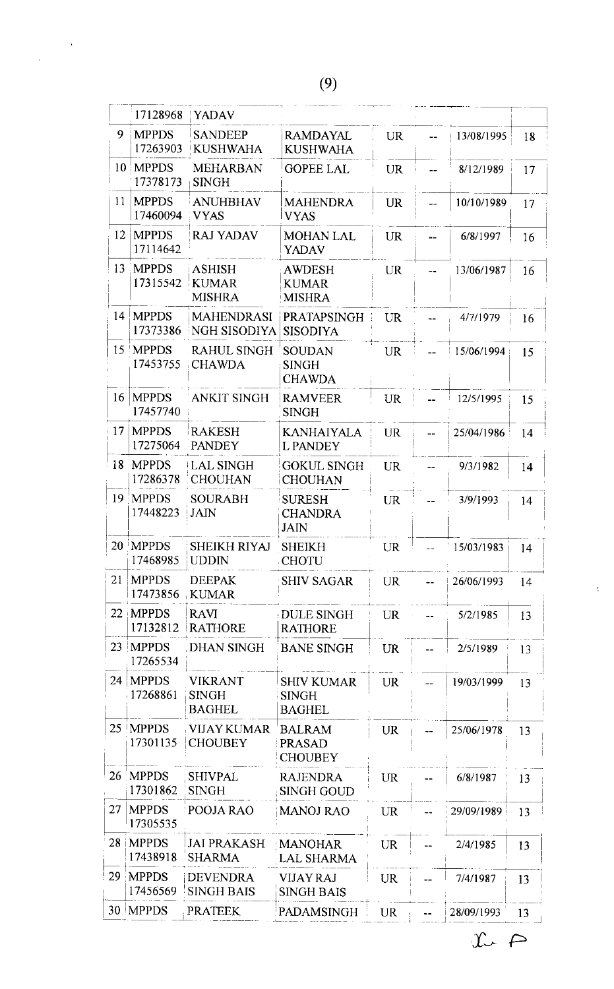$\label{eq:2.1} \begin{array}{l} \mathcal{L}_{\text{max}}(\mathcal{A}) \leq \mathcal{L}_{\text{max}}(\mathcal{A}) \end{array}$  where

|    | 17128968                  | <b>YADAV</b>                                    |                                                    |           |                |            |    |
|----|---------------------------|-------------------------------------------------|----------------------------------------------------|-----------|----------------|------------|----|
| 9  | <b>MPPDS</b><br>17263903  | <b>SANDEEP</b><br><b>KUSHWAHA</b>               | <b>RAMDAYAL</b><br><b>KUSHWAHA</b>                 | <b>UR</b> | $-$            | 13/08/1995 | 18 |
|    | 10 MPPDS<br>17378173      | <b>MEHARBAN</b><br><b>SINGH</b>                 | <b>GOPEE LAL</b>                                   | <b>UR</b> |                | 8/12/1989  | 17 |
| 11 | <b>MPPDS</b><br>17460094  | <b>ANUHBHAV</b><br><b>VYAS</b>                  | <b>MAHENDRA</b><br><b>VYAS</b>                     | <b>UR</b> |                | 10/10/1989 | 17 |
| 12 | <b>IMPPDS</b><br>17114642 | <b>RAJ YADAV</b>                                | <b>MOHAN LAL</b><br><b>YADAV</b>                   | <b>UR</b> |                | 6/8/1997   | 16 |
| 13 | <b>MPPDS</b><br>17315542  | <b>ASHISH</b><br><b>KUMAR</b><br><b>MISHRA</b>  | <b>AWDESH</b><br><b>KUMAR</b><br><b>MISHRA</b>     | <b>UR</b> |                | 13/06/1987 | 16 |
|    | 14   MPPDS<br>17373386    | <b>MAHENDRASI</b><br>NGH SISODIYA               | <b>PRATAPSINGH</b><br><b>SISODIYA</b>              | <b>UR</b> |                | 4/7/1979   | 16 |
|    | 15 'MPPDS<br>17453755     | <b>RAHUL SINGH</b><br><b>CHAWDA</b>             | <b>SOUDAN</b><br><b>SINGH</b><br><b>CHAWDA</b>     | <b>UR</b> |                | 15/06/1994 | 15 |
| 16 | <b>MPPDS</b><br>17457740  | <b>ANKIT SINGH</b>                              | <b>RAMVEER</b><br>SINGH                            | <b>UR</b> |                | 12/5/1995  | 15 |
| 17 | <b>MPPDS</b><br>17275064  | <b>RAKESH</b><br><b>PANDEY</b>                  | <b>KANHAIYALA</b><br><b>L PANDEY</b>               | <b>UR</b> |                | 25/04/1986 | 14 |
|    | 18 MPPDS<br>17286378      | <b>LAL SINGH</b><br><b>CHOUHAN</b>              | <b>GOKUL SINGH</b><br><b>CHOUHAN</b>               | <b>UR</b> |                | 9/3/1982   | 14 |
|    | 19 MPPDS<br>17448223      | <b>SOURABH</b><br> JAIN                         | <b>SURESH</b><br><b>CHANDRA</b><br>JAIN            | <b>UR</b> |                | 3/9/1993   | 14 |
|    | 20 MPPDS<br>17468985      | SHEIKH RIYAJ<br> UDDIN                          | <b>SHEIKH</b><br><b>CHOTU</b>                      | <b>UR</b> | $\overline{a}$ | 15/03/1983 | 14 |
| 21 | <b>MPPDS</b><br>17473856  | <b>DEEPAK</b><br><b>KUMAR</b>                   | <b>SHIV SAGAR</b>                                  | <b>UR</b> |                | 26/06/1993 | 14 |
|    | 22 MPPDS<br>17132812      | <b>RAVI</b><br>RATHORE                          | <b>DULE SINGH</b><br><b>RATHORE</b>                | <b>UR</b> |                | 5/2/1985   | 13 |
|    | 23   MPPDS<br>17265534    | DHAN SINGH                                      | <b>BANE SINGH</b>                                  | <b>UR</b> |                | 2/5/1989   | 13 |
|    | $24$  MPPDS<br>17268861   | <b>VIKRANT</b><br><b>SINGH</b><br><b>BAGHEL</b> | <b>SHIV KUMAR</b><br><b>SINGH</b><br><b>BAGHEL</b> | <b>UR</b> |                | 19/03/1999 | 13 |
|    | 25   MPPDS<br>17301135    | VIJAY KUMAR<br><b>CHOUBEY</b>                   | <b>BALRAM</b><br><b>PRASAD</b><br><b>CHOUBEY</b>   | <b>UR</b> |                | 25/06/1978 | 13 |
|    | 26 MPPDS<br>17301862      | <b>SHIVPAL</b><br><b>SINGH</b>                  | <b>RAJENDRA</b><br><b>SINGH GOUD</b>               | <b>UR</b> |                | 6/8/1987   | 13 |
| 27 | <b>MPPDS</b><br>17305535  | <b>POOJA RAO</b>                                | <b>MANOJ RAO</b>                                   | <b>UR</b> |                | 29/09/1989 | 13 |
| 28 | <b>IMPPDS</b><br>17438918 | <b>JAI PRAKASH</b><br><b>SHARMA</b>             | <b>MANOHAR</b><br><b>LAL SHARMA</b>                | <b>UR</b> |                | 2/4/1985   | 13 |
| 29 | MPPDS<br>17456569         | <b>DEVENDRA</b><br><b>SINGH BAIS</b>            | <b>VIJAY RAJ</b><br><b>SINGH BAIS</b>              | <b>UR</b> |                | 7/4/1987   | 13 |
|    | 30   MPPDS                | <b>PRATEEK</b>                                  | PADAMSINGH                                         | UR.       |                | 28/09/1993 | 13 |

 $\tilde{\mathcal{L}}$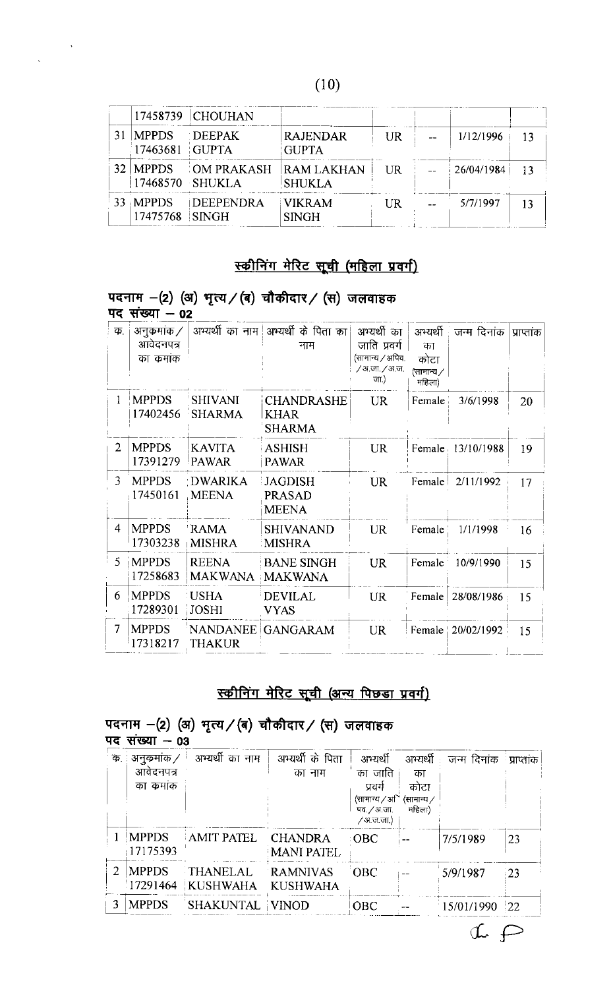|                                         | 17458739 CHOUHAN |                                                                      |     |            |    |
|-----------------------------------------|------------------|----------------------------------------------------------------------|-----|------------|----|
| MPPDS DEEPAK<br>$\mid$ 17463681   GUPTA |                  | <b>RAJENDAR</b><br><b>GUPTA</b>                                      | UR. | 1/12/1996  | 13 |
| $32$  MPPDS                             | 17468570 SHUKLA  | $\blacksquare$ OM PRAKASH $\blacksquare$ RAM LAKHAN<br><b>SHUKLA</b> | UR  | 26/04/1984 | 13 |
| $33$ MPPDS<br>17475768 SINGH            | <b>DEEPENDRA</b> | <b>VIKRAM</b><br><b>SINGH</b>                                        | UR  | 5/7/1997   | 13 |

## स्कीनिंग मेरिट सूची (महिला प्रवर्ग)

| क.             | अनुकमांक /               |                                  | अभ्यर्थी का नाम अभ्यर्थी के पिता का               | अभ्यर्थी का                                             | अभ्यर्थी                           | जन्म दिनांक         | प्राप्तांक |
|----------------|--------------------------|----------------------------------|---------------------------------------------------|---------------------------------------------------------|------------------------------------|---------------------|------------|
|                | आवेदनपत्र<br>का कमांक    |                                  | नाम                                               | जाति प्रवर्ग<br>(सामान्य / अपिव.<br>/अ.जा./अ.ज.<br>जा.) | का<br>कोटा<br>(सामान्य ⁄<br>महिला) |                     |            |
| 1              | <b>MPPDS</b><br>17402456 | <b>SHIVANI</b><br><b>SHARMA</b>  | <b>CHANDRASHE</b><br><b>KHAR</b><br><b>SHARMA</b> | <b>UR</b>                                               | Female                             | 3/6/1998            | 20         |
| $\overline{2}$ | <b>MPPDS</b><br>17391279 | <b>KAVITA</b><br><b>PAWAR</b>    | <b>ASHISH</b><br><b>PAWAR</b>                     | <b>UR</b>                                               |                                    | Female 13/10/1988   | 19         |
| 3              | <b>MPPDS</b><br>17450161 | DWARIKA<br><b>MEENA</b>          | <b>JAGDISH</b><br>PRASAD<br><b>MEENA</b>          | <b>UR</b>                                               | Female                             | 2/11/1992           | 17         |
| 4              | <b>MPPDS</b><br>17303238 | <b>RAMA</b><br><b>MISHRA</b>     | <b>SHIVANAND</b><br>MISHRA                        | <b>UR</b>                                               | Female                             | 1/1/1998            | 16         |
| $\mathcal{L}$  | <b>MPPDS</b><br>17258683 | <b>REENA</b><br><b>MAKWANA</b>   | <b>BANE SINGH</b><br><b>MAKWANA</b>               | <b>UR</b>                                               | Female                             | 10/9/1990           | 15         |
| 6              | <b>MPPDS</b><br>17289301 | <b>USHA</b><br><b>JOSHI</b>      | <b>DEVILAL</b><br><b>VYAS</b>                     | UR                                                      | Female                             | 28/08/1986          | 15         |
| $\overline{7}$ | <b>MPPDS</b><br>17318217 | <b>NANDANEE</b><br><b>THAKUR</b> | <b>GANGARAM</b>                                   | <b>UR</b>                                               |                                    | Female   20/02/1992 | 15         |

## पदनाम  $-(2)$  (अ) भृत्य / (ब) चौकीदार / (स) जलवाहक

 $\sim$   $\kappa$ 

## स्कीनिंग मेरिट सूची (अन्य पिछड़ा प्रवर्ग)

## पदनाम -(2) (अ) भृत्य/(ब) चौकीदार/ (स) जलवाहक<br>पद संख्या - 03

| क. | अनुक्रमांक /             | अभ्यर्थी का नाम                        | अभ्यर्थी के पिता                    | अभ्यर्थी                                                                | अभ्यर्थी                           | जन्म दिनांक प्राप्तांक |                  |
|----|--------------------------|----------------------------------------|-------------------------------------|-------------------------------------------------------------------------|------------------------------------|------------------------|------------------|
|    | आवेदनपत्र<br>का कमांक    |                                        | का नाम                              | का जाति<br>प्रवर्ग<br>(सामान्य / अ $\Gamma$<br>पव. ⁄ अ.जा.<br>/अ.ज.जा.) | का<br>कोटा<br>(सामान्य ∕<br>महिला) |                        |                  |
|    | <b>MPPDS</b><br>17175393 | AMIT PATEL                             | <b>CHANDRA</b><br><b>MANI PATEL</b> | $\cdot$ OBC                                                             |                                    | 7/5/1989               | 23               |
|    | <b>MPPDS</b>             | THANELAL<br>17291464 KUSHWAHA KUSHWAHA | RAMNIVAS                            | <b>OBC</b>                                                              |                                    | 5/9/1987               | $\frac{1}{2}$    |
|    | <b>MPPDS</b>             | <b>SHAKUNTAL</b>                       | <b>VINOD</b>                        | <b>OBC</b>                                                              |                                    | 15/01/1990             | $\frac{122}{22}$ |

 $A \nrightarrow$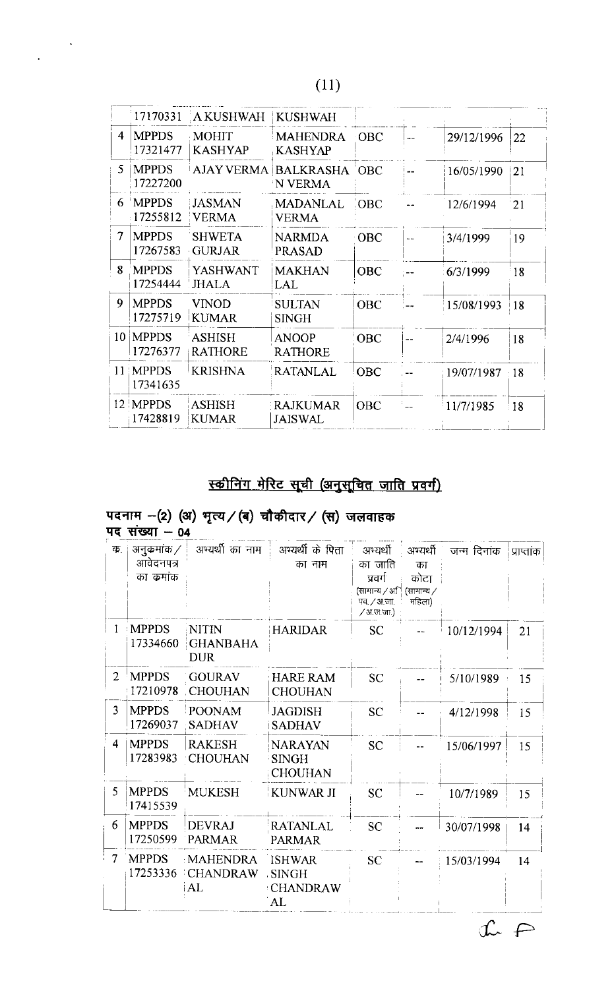$\mathbf{v}$ 

 $\ddot{\phantom{0}}$ 

|    | 17170331                 | A KUSHWAH                      | <b>KUSHWAH</b>                       |             |               |                 |
|----|--------------------------|--------------------------------|--------------------------------------|-------------|---------------|-----------------|
| 4  | <b>MPPDS</b><br>17321477 | MOHIT<br><b>KASHYAP</b>        | <b>MAHENDRA</b><br><b>KASHYAP</b>    | $\cdot$ OBC | 29/12/1996    | 22              |
| 5. | <b>MPPDS</b><br>17227200 |                                | AJAY VERMA BALKRASHA 'OBC<br>N VERMA |             | 16/05/1990    | 121             |
| 6  | <b>MPPDS</b><br>17255812 | JASMAN <br><b>VERMA</b>        | <b>MADANLAL</b><br><b>VERMA</b>      | <b>OBC</b>  | 12/6/1994     | $\overline{21}$ |
| 7  | <b>MPPDS</b><br>17267583 | <b>SHWETA</b><br><b>GURJAR</b> | <b>NARMDA</b><br><b>PRASAD</b>       | OBC         | 3/4/1999      | 19              |
| 8  | <b>MPPDS</b><br>17254444 | YASHWANT<br><b>JHALA</b>       | <b>MAKHAN</b><br>LAL                 | <b>OBC</b>  | 6/3/1999      | 18              |
| 9  | <b>MPPDS</b><br>17275719 | <b>VINOD</b><br><b>KUMAR</b>   | <b>SULTAN</b><br>SINGH               | <b>OBC</b>  | 15/08/1993    | i 18            |
|    | 10 MPPDS<br>17276377     | ASHISH<br><b>RATHORE</b>       | <b>ANOOP</b><br><b>RATHORE</b>       | <b>OBC</b>  | 2/4/1996      | 18              |
|    | 11 MPPDS<br>17341635     | <b>KRISHNA</b>                 | <b>RATANLAL</b>                      | <b>OBC</b>  | 19/07/1987 18 |                 |
|    | 12 MPPDS<br>17428819     | <b>ASHISH</b><br><b>KUMAR</b>  | <b>RAJKUMAR</b><br><b>JAISWAL</b>    | <b>OBC</b>  | 11/7/1985     | ! 18            |

## स्कीनिंग मेरिट सूची (अनुसूचित जाति प्रवर्ग)

## पदनाम –(2) (अ) भृत्य / (ब) चौकीदार / (स) जलवाहक<br>पद संख्या – 04

| क.             | अनुक्रमांक ⁄<br>आवेदनपत्र<br>का कमांक | अभ्यर्थी का नाम                               | अभ्यर्थी के पिता<br>का नाम                             | अभ्यर्थी<br>का जाति<br>प्रवर्गः<br>(सामान्य ∕ अि<br>पव / अ जा<br>$/3.55$ .जा.) | अभ्यर्थी<br>का<br>कोटा<br>(सामान्य /<br>महिला) | जन्म दिनांक | प्राप्तांक |
|----------------|---------------------------------------|-----------------------------------------------|--------------------------------------------------------|--------------------------------------------------------------------------------|------------------------------------------------|-------------|------------|
| $\mathbf{I}$   | <b>MPPDS</b><br>17334660              | <b>NITIN</b><br><b>GHANBAHA</b><br><b>DUR</b> | <b>HARIDAR</b>                                         | <b>SC</b>                                                                      |                                                | 10/12/1994  | 21         |
| $\overline{2}$ | 'MPPDS<br>17210978                    | <b>GOURAV</b><br><b>CHOUHAN</b>               | <b>HARE RAM</b><br><b>CHOUHAN</b>                      | <b>SC</b>                                                                      |                                                | 5/10/1989   | 15         |
| 3              | <b>MPPDS</b><br>17269037              | <b>POONAM</b><br><b>SADHAV</b>                | <b>JAGDISH</b><br><b>SADHAV</b>                        | <b>SC</b>                                                                      |                                                | 4/12/1998   | 15         |
| 4              | <b>MPPDS</b><br>17283983              | <b>RAKESH</b><br><b>CHOUHAN</b>               | <b>NARAYAN</b><br><b>SINGH</b><br><b>CHOUHAN</b>       | <b>SC</b>                                                                      |                                                | 15/06/1997  | 15         |
| 5              | <b>MPPDS</b><br>17415539              | <b>MUKESH</b>                                 | KUNWAR JI                                              | <b>SC</b>                                                                      |                                                | 10/7/1989   | 15         |
| 6              | <b>MPPDS</b><br>17250599              | <b>DEVRAJ</b><br><b>PARMAR</b>                | <b>RATANLAL</b><br><b>PARMAR</b>                       | <b>SC</b>                                                                      |                                                | 30/07/1998  | 14         |
| 7              | <b>MPPDS</b><br>17253336              | <b>MAHENDRA</b><br>CHANDRAW<br>AL             | <b>ISHWAR</b><br><b>SINGH</b><br><b>CHANDRAW</b><br>AL | SC.                                                                            |                                                | 15/03/1994  | 14         |

 $\begin{picture}(120,10) \put(0,0){\line(1,0){155}} \put(15,0){\line(1,0){155}} \put(15,0){\line(1,0){155}} \put(15,0){\line(1,0){155}} \put(15,0){\line(1,0){155}} \put(15,0){\line(1,0){155}} \put(15,0){\line(1,0){155}} \put(15,0){\line(1,0){155}} \put(15,0){\line(1,0){155}} \put(15,0){\line(1,0){155}} \put(15,0){\line(1,0){155}}$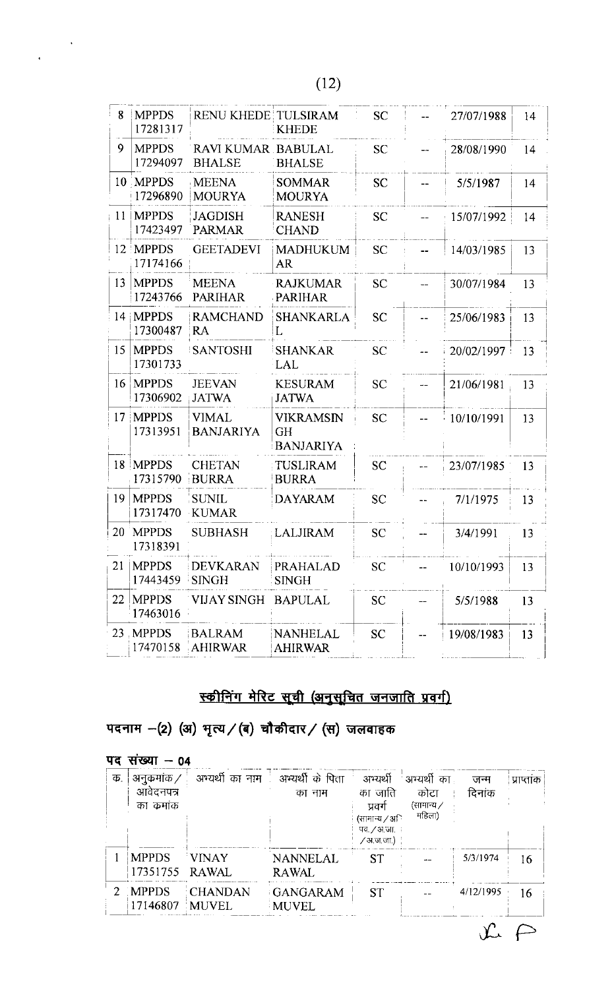$\label{eq:2} \frac{1}{\sqrt{2\pi}}\int_{0}^{\frac{\pi}{2}}\frac{dx}{\sqrt{2\pi}}\,dx$ 

| 8  | <b>MPPDS</b><br>17281317 | <b>RENU KHEDE TULSIRAM</b>          | KHEDE                                             | <b>SC</b> | 27/07/1988 | 14 |
|----|--------------------------|-------------------------------------|---------------------------------------------------|-----------|------------|----|
| 9  | <b>MPPDS</b><br>17294097 | RAVI KUMAR BABULAL<br><b>BHALSE</b> | <b>BHALSE</b>                                     | <b>SC</b> | 28/08/1990 | 14 |
|    | 10 MPPDS<br>17296890     | <b>MEENA</b><br><b>MOURYA</b>       | <b>SOMMAR</b><br><b>MOURYA</b>                    | <b>SC</b> | 5/5/1987   | 14 |
|    | 11   MPPDS<br>17423497   | <b>JAGDISH</b><br><b>PARMAR</b>     | <b>RANESH</b><br><b>CHAND</b>                     | <b>SC</b> | 15/07/1992 | 14 |
|    | 12 MPPDS<br>17174166     | <b>GEETADEVI</b>                    | <b>MADHUKUM</b><br>AR                             | <b>SC</b> | 14/03/1985 | 13 |
|    | 13   MPPDS<br>17243766   | <b>MEENA</b><br><b>PARIHAR</b>      | <b>RAJKUMAR</b><br>PARIHAR                        | <b>SC</b> | 30/07/1984 | 13 |
|    | 14 MPPDS<br>17300487     | <b>RAMCHAND</b><br>RA               | <b>SHANKARLA</b><br>L                             | <b>SC</b> | 25/06/1983 | 13 |
|    | 15   MPPDS<br>17301733   | <b>SANTOSHI</b>                     | <b>SHANKAR</b><br>LAL                             | <b>SC</b> | 20/02/1997 | 13 |
|    | 16   MPPDS<br>17306902   | <b>JEEVAN</b><br><b>JATWA</b>       | <b>KESURAM</b><br><b>JATWA</b>                    | <b>SC</b> | 21/06/1981 | 13 |
|    | 17 MPPDS<br>17313951     | <b>VIMAL</b><br>BANJARIYA           | <b>VIKRAMSIN</b><br><b>GH</b><br><b>BANJARIYA</b> | <b>SC</b> | 10/10/1991 | 13 |
|    | 18 MPPDS<br>17315790     | <b>CHETAN</b><br><b>BURRA</b>       | TUSLIRAM<br><b>BURRA</b>                          | <b>SC</b> | 23/07/1985 | 13 |
| 19 | <b>MPPDS</b><br>17317470 | <b>SUNIL</b><br><b>KUMAR</b>        | <b>DAYARAM</b>                                    | <b>SC</b> | 7/1/1975   | 13 |
|    | 20 MPPDS<br>17318391     | <b>SUBHASH</b>                      | LALJIRAM<br>المحتملة والمسائلة                    | <b>SC</b> | 3/4/1991   | 13 |
| 21 | MPPDS <br>17443459 SINGH | DEVKARAN                            | <b>PRAHALAD</b><br><b>SINGH</b>                   | <b>SC</b> | 10/10/1993 | 13 |
|    | 22   MPPDS<br>17463016   | VIJAY SINGH BAPULAL                 |                                                   | <b>SC</b> | 5/5/1988   | 13 |
|    | 23 MPPDS                 | BALRAM<br>17470158 AHIRWAR          | <b>NANHELAL</b><br><b>AHIRWAR</b>                 | <b>SC</b> | 19/08/1983 | 13 |

## स्कीनिंग मेरिट सूची (अनुसूचित जनजाति प्रवर्ग)

पदनाम -(2) (अ) भृत्य / (ब) चौकीदार / (स) जलवाहक

| पद  | सख्या $-04$                           |                  |                                              |                                                                               |                                              |               |            |
|-----|---------------------------------------|------------------|----------------------------------------------|-------------------------------------------------------------------------------|----------------------------------------------|---------------|------------|
| ΤТ. | अनुक्रमांक /<br>आवेदनपत्र<br>का कमांक |                  | अभ्यर्थी का नाम ! अभ्यर्थी के पिता<br>का नाम | अभ्यर्थी<br>का जाति<br>प्रवर्ग<br>(सामान्य ∕ अि<br>पव. / अ जा<br>∕ अ.ज.जा.) ∶ | ंअभ्यर्थी का<br>कोटा<br>(सामान्य ∕<br>महिला) | जन्म<br>दिनाक | प्राप्तांक |
|     | <b>MPPDS</b><br>17351755 RAWAL        | <b>VINAY</b>     | <b>NANNELAL</b><br><b>RAWAL</b>              | <b>ST</b>                                                                     |                                              | 5/3/1974      | 16         |
|     | 2 MPPDS<br>17146807                   | CHANDAN<br>MUVEL | <b>GANGARAM</b><br>MUVEL                     | <b>ST</b>                                                                     |                                              | 4/12/1995     | 16         |

 $\mathcal{L} \in$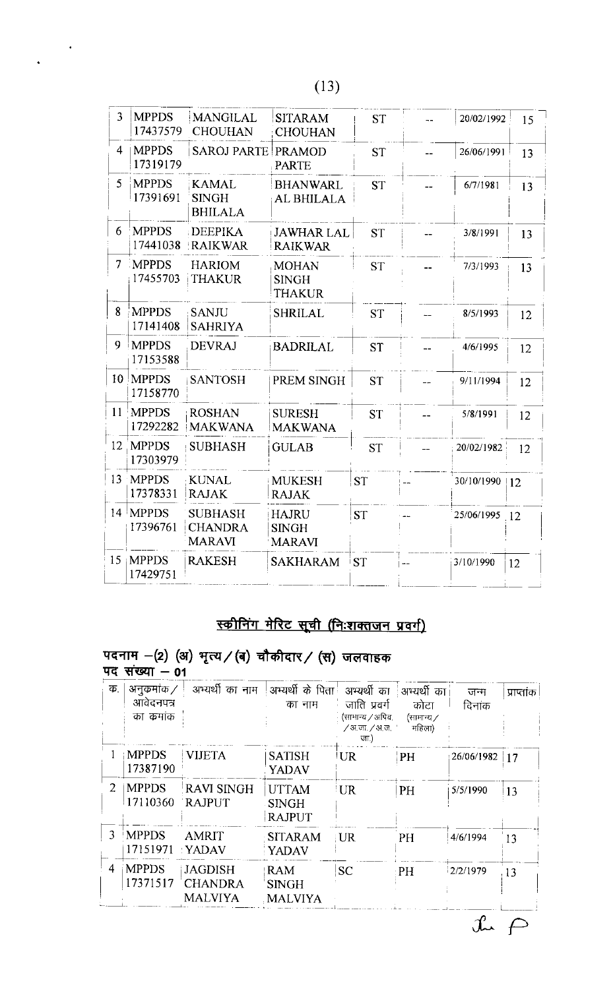$\sim$ 

 $\ddot{\phantom{1}}$ 

| $\overline{3}$  | <b>MPPDS</b><br>17437579 | <b>MANGILAL</b><br><b>CHOUHAN</b>                 | <b>SITARAM</b><br><b>CHOUHAN</b>              | <b>ST</b> |          | 20/02/1992 | 15 |
|-----------------|--------------------------|---------------------------------------------------|-----------------------------------------------|-----------|----------|------------|----|
| 4               | <b>MPPDS</b><br>17319179 | <b>SAROJ PARTE PRAMOD</b>                         | <b>PARTE</b>                                  | <b>ST</b> |          | 26/06/1991 | 13 |
| 5 <sup>1</sup>  | <b>MPPDS</b><br>17391691 | <b>KAMAL</b><br><b>SINGH</b><br><b>BHILALA</b>    | <b>BHANWARL</b><br>AL BHILALA                 | <b>ST</b> |          | 6/7/1981   | 13 |
| 6               | <b>MPPDS</b>             | <b>DEEPIKA</b><br>17441038   RAIKWAR              | <b>JAWHAR LAL</b><br><b>RAIKWAR</b>           | <b>ST</b> |          | 3/8/1991   | 13 |
|                 | 7 MPPDS<br>17455703      | <b>HARIOM</b><br><b>THAKUR</b>                    | <b>MOHAN</b><br><b>SINGH</b><br><b>THAKUR</b> | <b>ST</b> |          | 7/3/1993   | 13 |
| 8               | <b>MPPDS</b><br>17141408 | <b>SANJU</b><br><b>SAHRIYA</b>                    | <b>SHRILAL</b>                                | <b>ST</b> | $\equiv$ | 8/5/1993   | 12 |
| 9               | <b>MPPDS</b><br>17153588 | <b>DEVRAJ</b>                                     | <b>BADRILAL</b>                               | <b>ST</b> |          | 4/6/1995   | 12 |
|                 | 10 MPPDS<br>17158770     | <b>SANTOSH</b>                                    | PREM SINGH                                    | <b>ST</b> |          | 9/11/1994  | 12 |
|                 | 11 MPPDS<br>17292282     | <b>ROSHAN</b><br>MAKWANA                          | <b>SURESH</b><br><b>MAKWANA</b>               | <b>ST</b> |          | 5/8/1991   | 12 |
| 12 <sup>2</sup> | <b>MPPDS</b><br>17303979 | <b>SUBHASH</b>                                    | <b>GULAB</b>                                  | <b>ST</b> |          | 20/02/1982 | 12 |
|                 | 13 MPPDS<br>17378331     | <b>KUNAL</b><br><b>RAJAK</b>                      | MUKESH<br><b>RAJAK</b>                        | <b>ST</b> |          | 30/10/1990 | 12 |
|                 | $14$ MPPDS<br>17396761   | <b>SUBHASH</b><br><b>CHANDRA</b><br><b>MARAVI</b> | <b>HAJRU</b><br><b>SINGH</b><br><b>MARAVI</b> | <b>ST</b> |          | 25/06/1995 | 12 |
|                 | 15 MPPDS<br>17429751     | <b>RAKESH</b>                                     | <b>SAKHARAM</b>                               | <b>ST</b> |          | 3/10/1990  | 12 |
|                 |                          |                                                   |                                               |           |          |            |    |

## स्कीनिंग मेरिट सूची (निःशक्तजन प्रवर्ग)

## पदनाम -(2) (अ) भृत्य / (ब) चौकीदार / (स) जलवाहक<br>पद संख्या - 01

| ΤБ.            | अनुक्रमांक ⁄<br>आवेदनपत्र<br>का क्रमांक | अभ्यर्थी का नाम                                    | अभ्यर्थी के पिता   अभ्यर्थी का<br>का नाम      | जाति प्रवर्ग<br>(सामान्य / अपिव.<br>∕ अ.जा. ∕ अ.ज. '<br>जा.) | अभ्यर्थी का<br>कोटा<br>(सामान्य ∕<br>महिला) | जन्म<br>दिनाक | प्राप्तांक |
|----------------|-----------------------------------------|----------------------------------------------------|-----------------------------------------------|--------------------------------------------------------------|---------------------------------------------|---------------|------------|
|                | MPPDS<br>17387190                       | <b>VIJETA</b>                                      | <b>SATISH</b><br>YADAV                        | <b>UR</b>                                                    | <b>PH</b>                                   | 26/06/1982    | 17         |
| 2              | <b>MPPDS</b><br>17110360                | <b>RAVI SINGH</b><br><b>RAJPUT</b>                 | <b>UTTAM</b><br><b>SINGH</b><br><b>RAJPUT</b> | $\overline{\mathsf{U}}$ R                                    | PH                                          | 5/5/1990      | 13         |
| $\mathbf{3}$   | <b>MPPDS</b><br>17151971                | <b>AMRIT</b><br><b>YADAV</b>                       | <b>SITARAM</b><br><b>YADAV</b>                | $\mathbb{R}^n$                                               | PH                                          | 4/6/1994      | 13         |
| $\overline{4}$ | <b>MPPDS</b><br>17371517                | <b>JAGDISH</b><br><b>CHANDRA</b><br><b>MALVIYA</b> | <b>RAM</b><br><b>SINGH</b><br><b>MALVIYA</b>  | <b>SC</b>                                                    | $\cdot$ PH                                  | 2/2/1979      | 13         |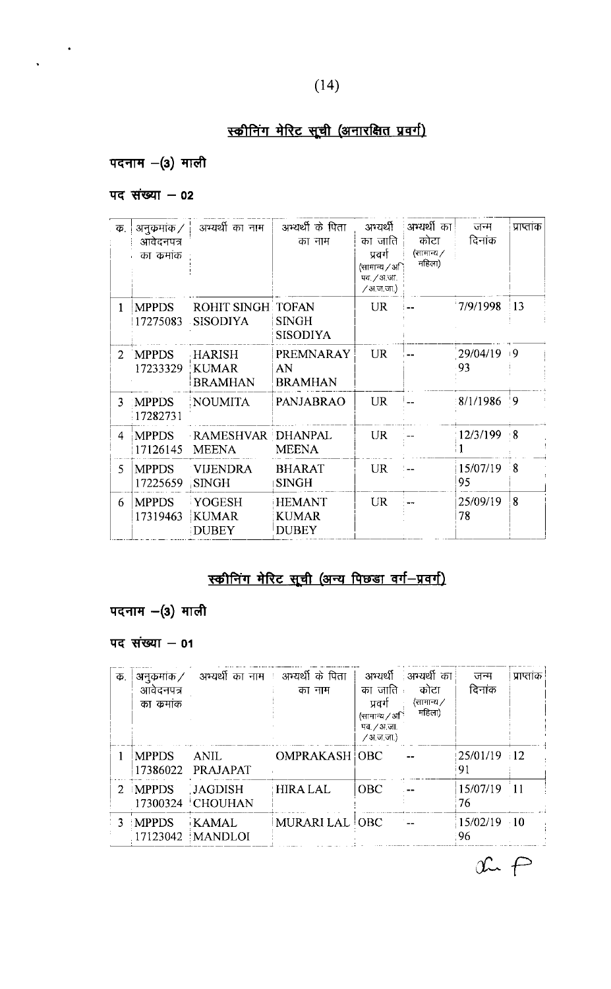#### $(14)$

## स्कीनिंग मेरिट सूची (अनारक्षित प्रवर्ग)

## पदनाम $-$ (3) माली

 $\frac{1}{\sqrt{2}}$  .

#### पद संख्या  $-$  02

| क.                          | अनुक्रमांक ⁄             | अभ्यर्थी का नाम                                 | अभ्यर्थी के पिता                         | अभ्यथी                                             | अभ्यर्थी का          | जन्म           | प्राप्तांक     |
|-----------------------------|--------------------------|-------------------------------------------------|------------------------------------------|----------------------------------------------------|----------------------|----------------|----------------|
|                             | आवेदनपत्र                |                                                 | का नाम                                   | का जाति                                            | कोटा                 | दिनांक         |                |
|                             | का कमांक                 |                                                 |                                          | प्रवर्ग<br>(सामान्य / अि<br>पव. / अ.जा.<br>/अज़जा) | (सामान्य /<br>महिला) |                |                |
| 1                           | <b>MPPDS</b><br>17275083 | <b>ROHIT SINGH TOFAN</b><br><b>SISODIYA</b>     | <b>SINGH</b><br>SISODIYA                 | <b>UR</b>                                          |                      | 7/9/1998       | $\frac{13}{2}$ |
| $\mathcal{D}_{\mathcal{L}}$ | <b>MPPDS</b><br>17233329 | <b>HARISH</b><br><b>KUMAR</b><br><b>BRAMHAN</b> | <b>PREMNARAY</b><br>AN<br><b>BRAMHAN</b> | <b>UR</b>                                          |                      | 29/04/19<br>93 | ⊥9             |
| 3                           | <b>MPPDS</b><br>17282731 | <b>NOUMITA</b>                                  | <b>PANJABRAO</b>                         | <b>UR</b>                                          |                      | 8/1/1986       | -9             |
| 4                           | <b>MPPDS</b><br>17126145 | RAMESHVAR DHANPAL<br><b>MEENA</b>               | <b>MEENA</b>                             | <b>UR</b>                                          |                      | 12/3/199       | $8^{\circ}$    |
| 5                           | <b>MPPDS</b><br>17225659 | <b>VIJENDRA</b><br><b>SINGH</b>                 | <b>BHARAT</b><br><b>SINGH</b>            | <b>UR</b>                                          |                      | 15/07/19<br>95 | - 8            |
| 6                           | <b>MPPDS</b><br>17319463 | YOGESH<br><b>KUMAR</b><br><b>DUBEY</b>          | <b>HEMANT</b><br><b>KUMAR</b><br>DUBEY   | <b>UR</b>                                          |                      | 25/09/19<br>78 | 8              |

## <u>स्कीनिंग मेरिट सूची (अन्य पिछड़ा वर्ग-प्रवर्ग)</u>

#### पदनाम - (3) माली

#### पद संख्या  $-01$

| क.             | अनुक्रमांक ⁄ |                                    | अभ्यर्थी का नाम । अभ्यर्थी के पिता |                          | अभ्यर्थी अभ्यर्थी का | जन्म                 | प्राप्तांक |
|----------------|--------------|------------------------------------|------------------------------------|--------------------------|----------------------|----------------------|------------|
|                | आवेदनपत्र    |                                    | का नाम                             | का जाति :                | कोटा                 | दिनांक               |            |
|                | का कमांक     |                                    |                                    | प्रवर्ग                  | {सामान्य ∕<br>महिला) |                      |            |
|                |              |                                    |                                    | (सामान्य $\sqrt{30}$     |                      |                      |            |
|                |              |                                    |                                    | पव. / अ.जा.<br>/अ.ज.जा.) |                      |                      |            |
|                | <b>MPPDS</b> | ANIL.<br>17386022 PRAJAPAT         | <b>OMPRAKASH OBC</b>               |                          |                      | 25/01/19 12<br>91    |            |
|                | 2 MPPDS      | <b>JAGDISH</b><br>17300324 CHOUHAN | <b>HIRA LAL</b>                    | <b>OBC</b>               |                      | 15/07/19<br>76       | 11         |
| $\overline{3}$ | <b>MPPDS</b> | <b>KAMAL</b><br>17123042   MANDLOI | MURARI LAL OBC                     |                          |                      | $15/02/19$ 10<br>-96 |            |

 $x \in P$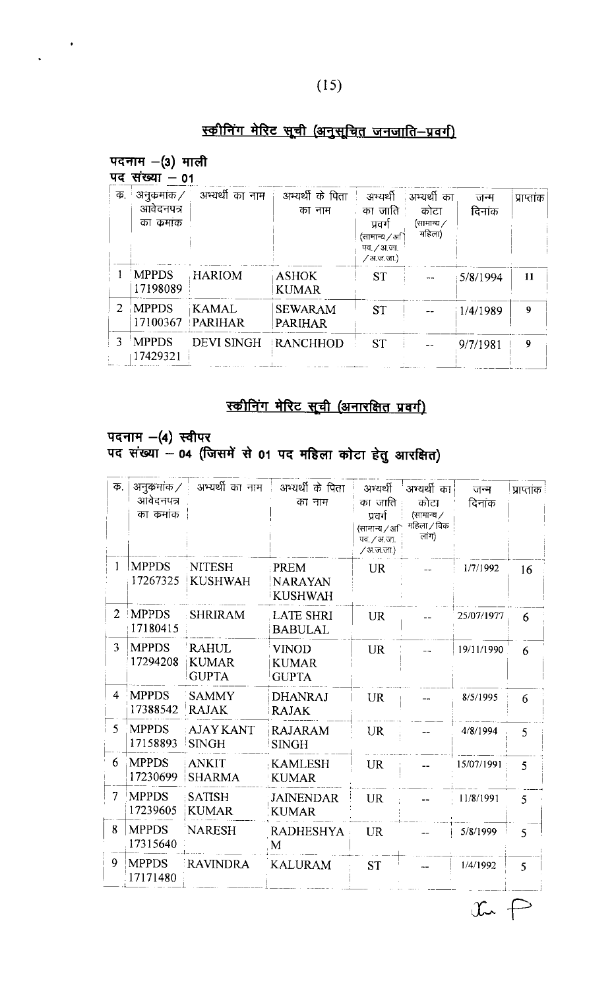#### $(15)$

## स्कीनिंग मेरिट सूची (अनुसूचित जनजाति-प्रवर्ग)

## पदनाम $-(3)$  माली

 $\frac{1}{2}$ 

 $\ddot{\phantom{0}}$ 

| Ф.                          | अनुक्रमांक ⁄             | अभ्यर्थी का नाम         | अभ्यर्थी के पिता                 | अभ्यर्थी                                                         | ंअभ्यर्थी का                 | जन्म     | प्राप्तांक |
|-----------------------------|--------------------------|-------------------------|----------------------------------|------------------------------------------------------------------|------------------------------|----------|------------|
|                             | आवेदनपत्र<br>का कमाक     |                         | का नाम                           | . का जाति<br>प्रवर्ग<br>(सामान्य / अ<br>पव. / अ.जा.<br>/अ.ज.जा.) | कोटा<br>(सामान्य ∕<br>महिला) | दिनांक   |            |
|                             | <b>MPPDS</b><br>17198089 | <b>HARIOM</b>           | <b>ASHOK</b><br><b>KUMAR</b>     | <b>ST</b>                                                        |                              | 5/8/1994 | 11         |
| $\mathcal{D}_{\mathcal{L}}$ | <b>MPPDS</b><br>17100367 | <b>KAMAL</b><br>PARIHAR | <b>SEWARAM</b><br><b>PARIHAR</b> | <b>ST</b>                                                        |                              | 1/4/1989 | 9          |
|                             | <b>MPPDS</b><br>17429321 | <b>DEVI SINGH</b>       | <b>RANCHHOD</b>                  | <b>ST</b>                                                        |                              | 9/7/1981 | 9          |

## स्कीनिंग मेरिट सूची (अनारक्षित प्रवर्ग)

## पदनाम -(4) स्वीपर<br>पद संख्या - 04 (जिसमें से 01 पद महिला कोटा हेतु आरक्षित)

| Ф.             | अनुक्रमांक ⁄<br>आवेदनपत्र<br>का कमांक | अभ्यर्थी का नाम                              | अभ्यर्थी के पिता<br>का नाम                   | अभ्यर्थी<br>का जाति<br>प्रवर्ग<br>(सामान्य ∕ अि<br>पव. / अ. जा.<br>/ अ.ज.जा.) | अभ्यर्थी का<br>कोटा<br>(सामान्य /<br>महिला / विक<br>लांग) | जन्म<br>दिनांक | प्राप्ताक    |
|----------------|---------------------------------------|----------------------------------------------|----------------------------------------------|-------------------------------------------------------------------------------|-----------------------------------------------------------|----------------|--------------|
|                | <b>MPPDS</b><br>17267325              | <b>NITESH</b><br><b>KUSHWAH</b>              | PREM<br><b>NARAYAN</b><br><b>KUSHWAH</b>     | <b>UR</b>                                                                     |                                                           | 1/7/1992       | 16           |
| $\overline{2}$ | <b>IMPPDS</b><br>17180415             | <b>SHRIRAM</b>                               | <b>LATE SHRI</b><br><b>BABULAL</b>           | <b>UR</b>                                                                     |                                                           | 25/07/1977     | 6            |
| 3              | <b>MPPDS</b><br>17294208              | <b>RAHUL</b><br><b>KUMAR</b><br><b>GUPTA</b> | <b>VINOD</b><br><b>KUMAR</b><br><b>GUPTA</b> | <b>UR</b>                                                                     |                                                           | 19/11/1990     | 6            |
| 4              | <b>MPPDS</b><br>17388542              | 'SAMMY<br><b>RAJAK</b>                       | <b>DHANRAJ</b><br><b>RAJAK</b>               | UR                                                                            |                                                           | 8/5/1995       | 6            |
| 5              | <b>MPPDS</b><br>17158893              | <b>AJAY KANT</b><br><b>SINGH</b>             | <b>RAJARAM</b><br><b>SINGH</b>               | <b>UR</b>                                                                     |                                                           | 4/8/1994       | 5            |
| 6              | <b>MPPDS</b><br>17230699              | <b>ANKIT</b><br><b>SHARMA</b>                | <b>KAMLESH</b><br><b>KUMAR</b>               | UR                                                                            |                                                           | 15/07/1991     | 5            |
| 7              | <b>MPPDS</b><br>17239605              | <b>SATISH</b><br><b>KUMAR</b>                | <b>JAINENDAR</b><br><b>KUMAR</b>             | UR                                                                            |                                                           | 11/8/1991      | $\leq$       |
| 8              | <b>MPPDS</b><br>17315640              | <b>NARESH</b>                                | <b>RADHESHYA</b><br>М                        | <b>UR</b>                                                                     |                                                           | 5/8/1999       | $\mathsf{S}$ |
| 9              | <b>MPPDS</b><br>17171480              | RAVINDRA                                     | <b>KALURAM</b>                               | <b>ST</b>                                                                     |                                                           | 1/4/1992       | 5.           |

 $\begin{picture}(20,20) \put(0,0){\line(1,0){10}} \put(15,0){\line(1,0){10}} \put(15,0){\line(1,0){10}} \put(15,0){\line(1,0){10}} \put(15,0){\line(1,0){10}} \put(15,0){\line(1,0){10}} \put(15,0){\line(1,0){10}} \put(15,0){\line(1,0){10}} \put(15,0){\line(1,0){10}} \put(15,0){\line(1,0){10}} \put(15,0){\line(1,0){10}} \put(15,0){\line(1$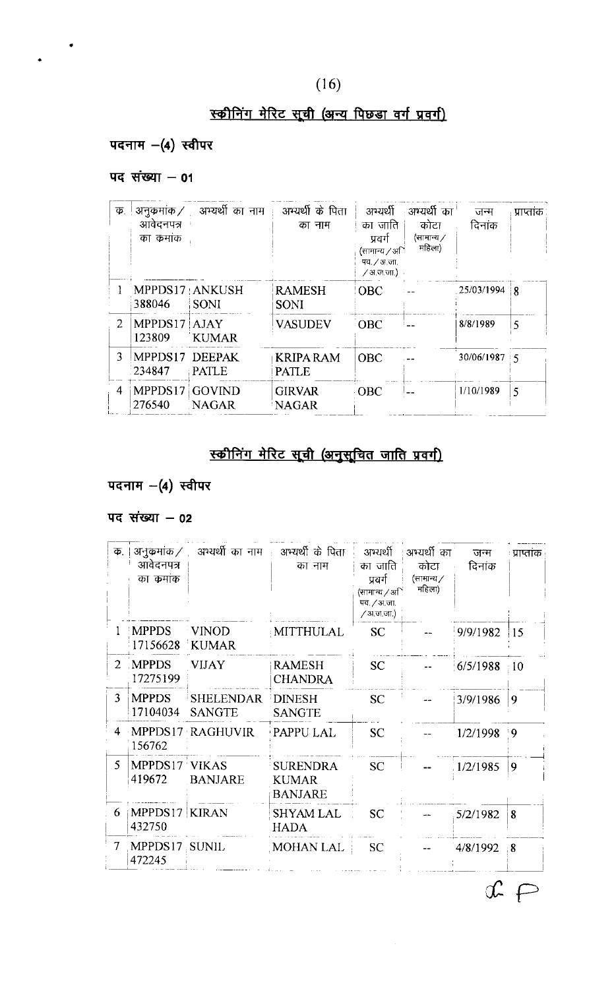## $(16)$

## स्कीनिंग मेरिट सूची (अन्य पिछड़ा वर्ग प्रवर्ग)

#### पदनाम - (4) स्वीपर

#### पद संख्या  $-$  01

 $\bullet$ 

| $\overline{\Phi}$ . | अनुक्रमांक ⁄<br>आवेदनपत्र<br>का कमांक | अभ्यर्थी का नाम         | अभ्यर्थी के पिता<br>का नाम      | अभ्यर्थी<br>का जाति<br>प्रवर्ग<br>(सामान्य ∕ अि<br>पव. / अ.जा.<br>∕अजजा) | ्अभ्यर्थी का<br>कोटा<br>(सामान्य ∕<br>महिला) | जन्म<br>दिनांक | प्राप्ताक |
|---------------------|---------------------------------------|-------------------------|---------------------------------|--------------------------------------------------------------------------|----------------------------------------------|----------------|-----------|
|                     | MPPDS17 ANKUSH<br>388046              | <b>SONI</b>             | <b>RAMESH</b><br><b>SONI</b>    | <b>OBC</b>                                                               |                                              | .25/03/1994    | 18        |
| 2                   | MPPDS17 AJAY<br>123809                | <b>KUMAR</b>            | <b>VASUDEV</b>                  | <b>OBC</b>                                                               |                                              | 8/8/1989       | 5         |
| 3                   | MPPDS17<br>234847                     | <b>DEEPAK</b><br>PATL E | <b>KRIPARAM</b><br><b>PATLE</b> | <b>OBC</b>                                                               |                                              | $30/06/1987$ 5 |           |
| 4                   | MPPDS17<br>276540                     | <b>GOVIND</b><br>NAGAR  | <b>GIRVAR</b><br>NAGAR          | <b>OBC</b>                                                               |                                              | 1/10/1989      | 5         |

## स्कीनिंग मेरिट सूची (अनुसूचित जाति प्रवर्ग)

## पदनाम - (4) स्वीपर

#### पद संख्या  $-$  02

| Ф.            | आवेदनपत्र<br>का कमांक     | अनुक्रमांक / अभ्यर्थी का नाम : अभ्यर्थी के पिता | का नाम                                            | अभ्यर्थी<br>का जाति<br>प्रवर्ग<br>(सामान्य $\sqrt{3}$ ा<br>पव. / अ.जा.<br>/ अ.ज.जा.) | ाअभ्यर्थी का<br>कोटा<br>(सामान्य /<br>महिला) | जन्म<br>दिनांक | ः प्राप्तांक |
|---------------|---------------------------|-------------------------------------------------|---------------------------------------------------|--------------------------------------------------------------------------------------|----------------------------------------------|----------------|--------------|
|               | <b>MPPDS</b><br>17156628  | VINOD<br>KUMAR                                  | MITTHULAL                                         | <b>SC</b>                                                                            |                                              | 9/9/1982       | 15           |
| $\mathcal{L}$ | <b>MPPDS</b><br>17275199  | <b>VIJAY</b>                                    | <b>RAMESH</b><br><b>CHANDRA</b>                   | <b>SC</b>                                                                            |                                              | 6/5/1988       | : 10         |
| 3             | <b>MPPDS</b><br>17104034  | SHELENDAR<br><b>SANGTE</b>                      | <b>DINESH</b><br><b>SANGTE</b>                    | <b>SC</b>                                                                            |                                              | 3/9/1986       | 9            |
|               | 156762                    | 4 MPPDS17 RAGHUVIR                              | <b>PAPPULAL</b>                                   | <b>SC</b>                                                                            |                                              | 1/2/1998       | ۰9           |
| 5.            | MPPDS17 VIKAS<br>419672   | <b>BANJARE</b>                                  | <b>SURENDRA</b><br><b>KUMAR</b><br><b>BANJARE</b> | <b>SC</b>                                                                            |                                              | 1/2/1985       | 9            |
| 6             | MPPDS17   KIRAN<br>432750 |                                                 | <b>SHYAM LAL</b><br><b>HADA</b>                   | <b>SC</b>                                                                            |                                              | 5/2/1982       | 8            |
| 7             | MPPDS17 SUNIL<br>472245   |                                                 | MOHAN LAL :                                       | <b>SC</b>                                                                            |                                              | 4/8/1992       | : 8          |

 $x \in$